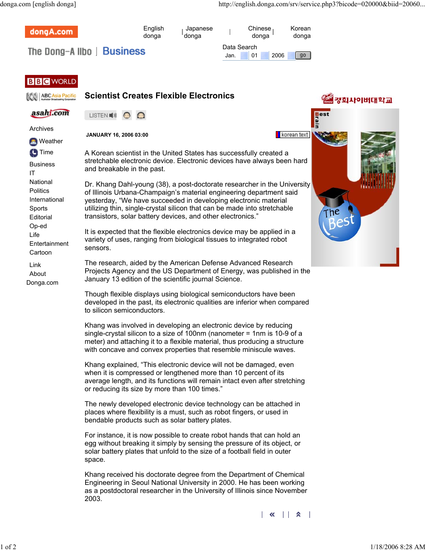| dongA.com                                                           | English<br>donga                                                                                                                                                                                                                                                                                                                                                                                                                                                                                                                                                                                                                                                                                                                                                                                                                                                                                                                                                                                                         | Japanese<br>donga |                     | Chinese<br>donga | Korean<br>donga |  |          |
|---------------------------------------------------------------------|--------------------------------------------------------------------------------------------------------------------------------------------------------------------------------------------------------------------------------------------------------------------------------------------------------------------------------------------------------------------------------------------------------------------------------------------------------------------------------------------------------------------------------------------------------------------------------------------------------------------------------------------------------------------------------------------------------------------------------------------------------------------------------------------------------------------------------------------------------------------------------------------------------------------------------------------------------------------------------------------------------------------------|-------------------|---------------------|------------------|-----------------|--|----------|
|                                                                     | The Dong-Allbo   Business                                                                                                                                                                                                                                                                                                                                                                                                                                                                                                                                                                                                                                                                                                                                                                                                                                                                                                                                                                                                |                   | Data Search<br>Jan. | 01<br>2006       | $g_0$           |  |          |
|                                                                     |                                                                                                                                                                                                                                                                                                                                                                                                                                                                                                                                                                                                                                                                                                                                                                                                                                                                                                                                                                                                                          |                   |                     |                  |                 |  |          |
| <b>BBC</b> WORLD                                                    |                                                                                                                                                                                                                                                                                                                                                                                                                                                                                                                                                                                                                                                                                                                                                                                                                                                                                                                                                                                                                          |                   |                     |                  |                 |  |          |
| ABC Asia Pacific                                                    | <b>Scientist Creates Flexible Electronics</b>                                                                                                                                                                                                                                                                                                                                                                                                                                                                                                                                                                                                                                                                                                                                                                                                                                                                                                                                                                            |                   |                     |                  |                 |  | 경희사이버대학교 |
| asahi.com                                                           | LISTEN ■ 1)                                                                                                                                                                                                                                                                                                                                                                                                                                                                                                                                                                                                                                                                                                                                                                                                                                                                                                                                                                                                              |                   |                     |                  |                 |  |          |
| Archives                                                            | JANUARY 16, 2006 03:00                                                                                                                                                                                                                                                                                                                                                                                                                                                                                                                                                                                                                                                                                                                                                                                                                                                                                                                                                                                                   |                   |                     | korean text      |                 |  |          |
| <b>Meather</b>                                                      | A Korean scientist in the United States has successfully created a<br>stretchable electronic device. Electronic devices have always been hard<br>and breakable in the past.<br>Dr. Khang Dahl-young (38), a post-doctorate researcher in the University<br>of Illinois Urbana-Champaign's material engineering department said<br>yesterday, "We have succeeded in developing electronic material<br>utilizing thin, single-crystal silicon that can be made into stretchable<br>transistors, solar battery devices, and other electronics."<br>It is expected that the flexible electronics device may be applied in a<br>variety of uses, ranging from biological tissues to integrated robot<br>sensors.                                                                                                                                                                                                                                                                                                              |                   |                     |                  |                 |  |          |
| <b>C</b> Time<br><b>Business</b><br>IT                              |                                                                                                                                                                                                                                                                                                                                                                                                                                                                                                                                                                                                                                                                                                                                                                                                                                                                                                                                                                                                                          |                   |                     |                  |                 |  |          |
| National<br><b>Politics</b><br>International<br>Sports<br>Editorial |                                                                                                                                                                                                                                                                                                                                                                                                                                                                                                                                                                                                                                                                                                                                                                                                                                                                                                                                                                                                                          |                   |                     |                  |                 |  |          |
| Op-ed<br>Life<br>Entertainment<br>Cartoon                           |                                                                                                                                                                                                                                                                                                                                                                                                                                                                                                                                                                                                                                                                                                                                                                                                                                                                                                                                                                                                                          |                   |                     |                  |                 |  |          |
| Link<br>About<br>Donga.com                                          | The research, aided by the American Defense Advanced Research<br>Projects Agency and the US Department of Energy, was published in the<br>January 13 edition of the scientific journal Science.                                                                                                                                                                                                                                                                                                                                                                                                                                                                                                                                                                                                                                                                                                                                                                                                                          |                   |                     |                  |                 |  |          |
|                                                                     | Though flexible displays using biological semiconductors have been<br>developed in the past, its electronic qualities are inferior when compared<br>to silicon semiconductors.                                                                                                                                                                                                                                                                                                                                                                                                                                                                                                                                                                                                                                                                                                                                                                                                                                           |                   |                     |                  |                 |  |          |
|                                                                     | Khang was involved in developing an electronic device by reducing<br>single-crystal silicon to a size of 100nm (nanometer = 1nm is 10-9 of a<br>meter) and attaching it to a flexible material, thus producing a structure<br>with concave and convex properties that resemble miniscule waves.<br>Khang explained, "This electronic device will not be damaged, even<br>when it is compressed or lengthened more than 10 percent of its<br>average length, and its functions will remain intact even after stretching<br>or reducing its size by more than 100 times."<br>The newly developed electronic device technology can be attached in<br>places where flexibility is a must, such as robot fingers, or used in<br>bendable products such as solar battery plates.<br>For instance, it is now possible to create robot hands that can hold an<br>egg without breaking it simply by sensing the pressure of its object, or<br>solar battery plates that unfold to the size of a football field in outer<br>space. |                   |                     |                  |                 |  |          |
|                                                                     |                                                                                                                                                                                                                                                                                                                                                                                                                                                                                                                                                                                                                                                                                                                                                                                                                                                                                                                                                                                                                          |                   |                     |                  |                 |  |          |
|                                                                     |                                                                                                                                                                                                                                                                                                                                                                                                                                                                                                                                                                                                                                                                                                                                                                                                                                                                                                                                                                                                                          |                   |                     |                  |                 |  |          |
|                                                                     |                                                                                                                                                                                                                                                                                                                                                                                                                                                                                                                                                                                                                                                                                                                                                                                                                                                                                                                                                                                                                          |                   |                     |                  |                 |  |          |
|                                                                     | Khang received his doctorate degree from the Department of Chemical<br>Engineering in Seoul National University in 2000. He has been working<br>as a postdoctoral researcher in the University of Illinois since November<br>2003.                                                                                                                                                                                                                                                                                                                                                                                                                                                                                                                                                                                                                                                                                                                                                                                       |                   |                     |                  |                 |  |          |
|                                                                     |                                                                                                                                                                                                                                                                                                                                                                                                                                                                                                                                                                                                                                                                                                                                                                                                                                                                                                                                                                                                                          |                   |                     | K.               | А               |  |          |